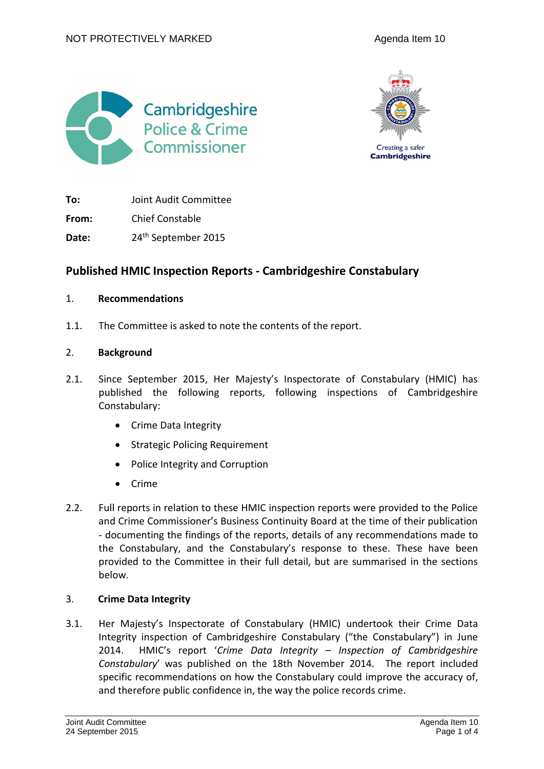



**To:** Joint Audit Committee

**From:** Chief Constable

Date: 24<sup>th</sup> September 2015

# **Published HMIC Inspection Reports - Cambridgeshire Constabulary**

### 1. **Recommendations**

1.1. The Committee is asked to note the contents of the report.

# 2. **Background**

- 2.1. Since September 2015, Her Majesty's Inspectorate of Constabulary (HMIC) has published the following reports, following inspections of Cambridgeshire Constabulary:
	- Crime Data Integrity
	- Strategic Policing Requirement
	- Police Integrity and Corruption
	- Crime
- 2.2. Full reports in relation to these HMIC inspection reports were provided to the Police and Crime Commissioner's Business Continuity Board at the time of their publication - documenting the findings of the reports, details of any recommendations made to the Constabulary, and the Constabulary's response to these. These have been provided to the Committee in their full detail, but are summarised in the sections below.

# 3. **Crime Data Integrity**

3.1. Her Majesty's Inspectorate of Constabulary (HMIC) undertook their Crime Data Integrity inspection of Cambridgeshire Constabulary ("the Constabulary") in June 2014. HMIC's report '*Crime Data Integrity – Inspection of Cambridgeshire Constabulary*' was published on the 18th November 2014. The report included specific recommendations on how the Constabulary could improve the accuracy of, and therefore public confidence in, the way the police records crime.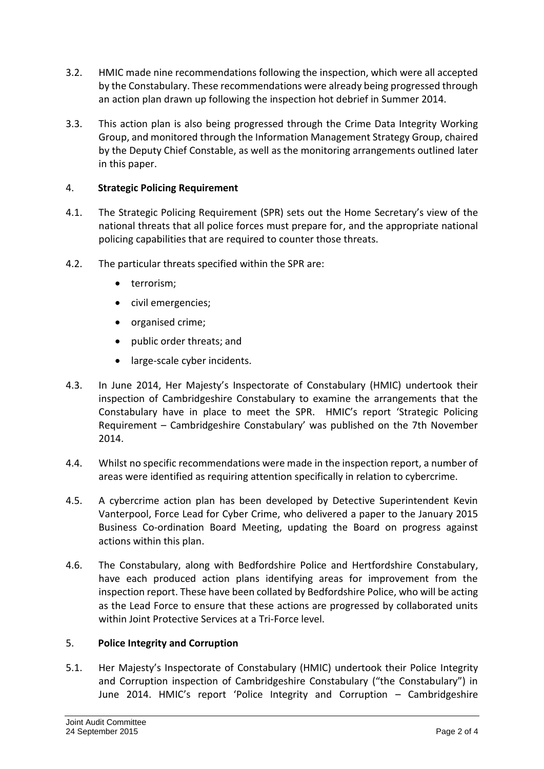- 3.2. HMIC made nine recommendations following the inspection, which were all accepted by the Constabulary. These recommendations were already being progressed through an action plan drawn up following the inspection hot debrief in Summer 2014.
- 3.3. This action plan is also being progressed through the Crime Data Integrity Working Group, and monitored through the Information Management Strategy Group, chaired by the Deputy Chief Constable, as well as the monitoring arrangements outlined later in this paper.

# 4. **Strategic Policing Requirement**

- 4.1. The Strategic Policing Requirement (SPR) sets out the Home Secretary's view of the national threats that all police forces must prepare for, and the appropriate national policing capabilities that are required to counter those threats.
- 4.2. The particular threats specified within the SPR are:
	- terrorism;
	- civil emergencies;
	- organised crime;
	- public order threats; and
	- large-scale cyber incidents.
- 4.3. In June 2014, Her Majesty's Inspectorate of Constabulary (HMIC) undertook their inspection of Cambridgeshire Constabulary to examine the arrangements that the Constabulary have in place to meet the SPR. HMIC's report 'Strategic Policing Requirement – Cambridgeshire Constabulary' was published on the 7th November 2014.
- 4.4. Whilst no specific recommendations were made in the inspection report, a number of areas were identified as requiring attention specifically in relation to cybercrime.
- 4.5. A cybercrime action plan has been developed by Detective Superintendent Kevin Vanterpool, Force Lead for Cyber Crime, who delivered a paper to the January 2015 Business Co-ordination Board Meeting, updating the Board on progress against actions within this plan.
- 4.6. The Constabulary, along with Bedfordshire Police and Hertfordshire Constabulary, have each produced action plans identifying areas for improvement from the inspection report. These have been collated by Bedfordshire Police, who will be acting as the Lead Force to ensure that these actions are progressed by collaborated units within Joint Protective Services at a Tri-Force level.

# 5. **Police Integrity and Corruption**

5.1. Her Majesty's Inspectorate of Constabulary (HMIC) undertook their Police Integrity and Corruption inspection of Cambridgeshire Constabulary ("the Constabulary") in June 2014. HMIC's report 'Police Integrity and Corruption – Cambridgeshire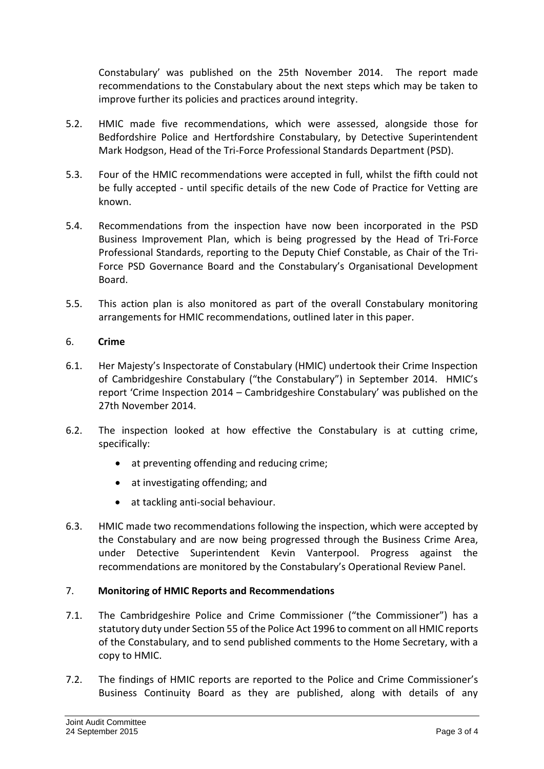Constabulary' was published on the 25th November 2014. The report made recommendations to the Constabulary about the next steps which may be taken to improve further its policies and practices around integrity.

- 5.2. HMIC made five recommendations, which were assessed, alongside those for Bedfordshire Police and Hertfordshire Constabulary, by Detective Superintendent Mark Hodgson, Head of the Tri-Force Professional Standards Department (PSD).
- 5.3. Four of the HMIC recommendations were accepted in full, whilst the fifth could not be fully accepted - until specific details of the new Code of Practice for Vetting are known.
- 5.4. Recommendations from the inspection have now been incorporated in the PSD Business Improvement Plan, which is being progressed by the Head of Tri-Force Professional Standards, reporting to the Deputy Chief Constable, as Chair of the Tri-Force PSD Governance Board and the Constabulary's Organisational Development Board.
- 5.5. This action plan is also monitored as part of the overall Constabulary monitoring arrangements for HMIC recommendations, outlined later in this paper.

# 6. **Crime**

- 6.1. Her Majesty's Inspectorate of Constabulary (HMIC) undertook their Crime Inspection of Cambridgeshire Constabulary ("the Constabulary") in September 2014. HMIC's report 'Crime Inspection 2014 – Cambridgeshire Constabulary' was published on the 27th November 2014.
- 6.2. The inspection looked at how effective the Constabulary is at cutting crime, specifically:
	- at preventing offending and reducing crime;
	- at investigating offending; and
	- at tackling anti-social behaviour.
- 6.3. HMIC made two recommendations following the inspection, which were accepted by the Constabulary and are now being progressed through the Business Crime Area, under Detective Superintendent Kevin Vanterpool. Progress against the recommendations are monitored by the Constabulary's Operational Review Panel.

# 7. **Monitoring of HMIC Reports and Recommendations**

- 7.1. The Cambridgeshire Police and Crime Commissioner ("the Commissioner") has a statutory duty under Section 55 of the Police Act 1996 to comment on all HMIC reports of the Constabulary, and to send published comments to the Home Secretary, with a copy to HMIC.
- 7.2. The findings of HMIC reports are reported to the Police and Crime Commissioner's Business Continuity Board as they are published, along with details of any